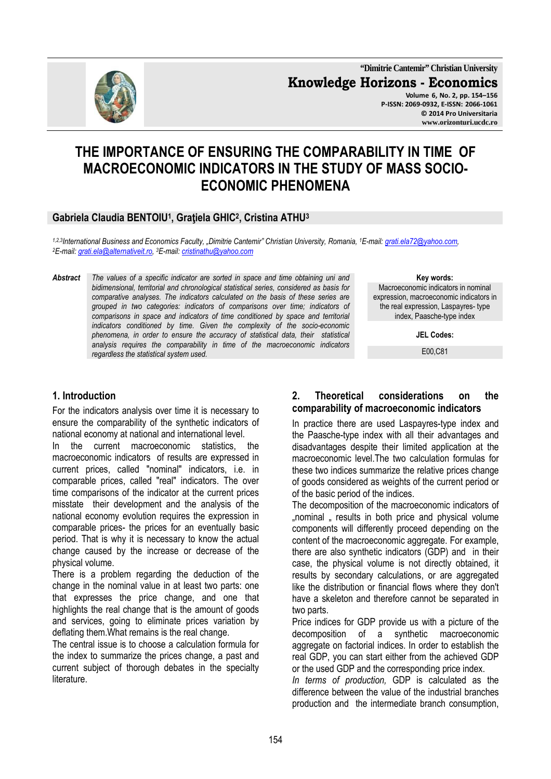

**"Dimitrie Cantemir" Christian University Knowledge Horizons - Economics Volume 6, No. 2, pp. 154–156 P-ISSN: 2069-0932, E-ISSN: 2066-1061 © 2014 Pro Universitaria www.orizonturi.ucdc.ro**

# **THE IMPORTANCE OF ENSURING THE COMPARABILITY IN TIME OF MACROECONOMIC INDICATORS IN THE STUDY OF MASS SOCIO-ECONOMIC PHENOMENA**

# **Gabriela Claudia BENTOIU<sup>1</sup> , Graţiela GHIC<sup>2</sup> , Cristina ATHU<sup>3</sup>**

*1,2,3International Business and Economics Faculty, "Dimitrie Cantemir" Christian University, Romania, <sup>1</sup>E-mail: grati.ela72@yahoo.com, <sup>2</sup>E-mail: grati.ela@alternativeit.ro, <sup>3</sup>E-mail: cristinathu@yahoo.com*

*Abstract The values of a specific indicator are sorted in space and time obtaining uni and bidimensional, territorial and chronological statistical series, considered as basis for comparative analyses. The indicators calculated on the basis of these series are grouped in two categories: indicators of comparisons over time; indicators of comparisons in space and indicators of time conditioned by space and territorial indicators conditioned by time. Given the complexity of the socio-economic phenomena, in order to ensure the accuracy of statistical data, their statistical analysis requires the comparability in time of the macroeconomic indicators regardless the statistical system used.* 

#### **Key words:** Macroeconomic indicators in nominal expression, macroeconomic indicators in the real expression, Laspayres- type index, Paasche-type index

**JEL Codes:**

E00,C81

### **1. Introduction**

For the indicators analysis over time it is necessary to ensure the comparability of the synthetic indicators of national economy at national and international level.

In the current macroeconomic statistics, the macroeconomic indicators of results are expressed in current prices, called "nominal" indicators, i.e. in comparable prices, called "real" indicators. The over time comparisons of the indicator at the current prices misstate their development and the analysis of the national economy evolution requires the expression in comparable prices- the prices for an eventually basic period. That is why it is necessary to know the actual change caused by the increase or decrease of the physical volume.

There is a problem regarding the deduction of the change in the nominal value in at least two parts: one that expresses the price change, and one that highlights the real change that is the amount of goods and services, going to eliminate prices variation by deflating them.What remains is the real change.

The central issue is to choose a calculation formula for the index to summarize the prices change, a past and current subject of thorough debates in the specialty literature.

#### **2. Theoretical considerations on the comparability of macroeconomic indicators**

In practice there are used Laspayres-type index and the Paasche-type index with all their advantages and disadvantages despite their limited application at the macroeconomic level.The two calculation formulas for these two indices summarize the relative prices change of goods considered as weights of the current period or of the basic period of the indices.

The decomposition of the macroeconomic indicators of ..nominal .. results in both price and physical volume components will differently proceed depending on the content of the macroeconomic aggregate. For example, there are also synthetic indicators (GDP) and in their case, the physical volume is not directly obtained, it results by secondary calculations, or are aggregated like the distribution or financial flows where they don't have a skeleton and therefore cannot be separated in two parts.

Price indices for GDP provide us with a picture of the decomposition of a synthetic macroeconomic aggregate on factorial indices. In order to establish the real GDP, you can start either from the achieved GDP or the used GDP and the corresponding price index.

*In terms of production,* GDP is calculated as the difference between the value of the industrial branches production and the intermediate branch consumption,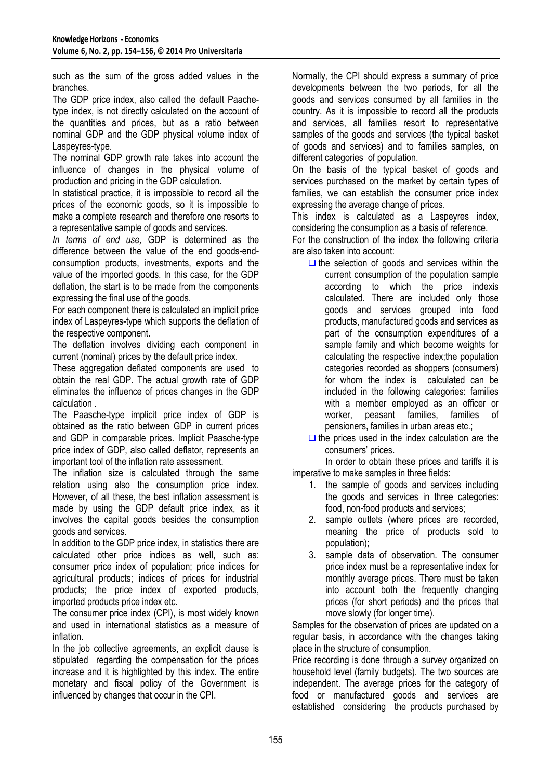such as the sum of the gross added values in the branches.

The GDP price index, also called the default Paachetype index, is not directly calculated on the account of the quantities and prices, but as a ratio between nominal GDP and the GDP physical volume index of Laspeyres-type.

The nominal GDP growth rate takes into account the influence of changes in the physical volume of production and pricing in the GDP calculation.

In statistical practice, it is impossible to record all the prices of the economic goods, so it is impossible to make a complete research and therefore one resorts to a representative sample of goods and services.

*In terms of end use,* GDP is determined as the difference between the value of the end goods-endconsumption products, investments, exports and the value of the imported goods. In this case, for the GDP deflation, the start is to be made from the components expressing the final use of the goods.

For each component there is calculated an implicit price index of Laspeyres-type which supports the deflation of the respective component.

The deflation involves dividing each component in current (nominal) prices by the default price index.

These aggregation deflated components are used to obtain the real GDP. The actual growth rate of GDP eliminates the influence of prices changes in the GDP calculation .

The Paasche-type implicit price index of GDP is obtained as the ratio between GDP in current prices and GDP in comparable prices. Implicit Paasche-type price index of GDP, also called deflator, represents an important tool of the inflation rate assessment.

The inflation size is calculated through the same relation using also the consumption price index. However, of all these, the best inflation assessment is made by using the GDP default price index, as it involves the capital goods besides the consumption goods and services.

In addition to the GDP price index, in statistics there are calculated other price indices as well, such as: consumer price index of population; price indices for agricultural products; indices of prices for industrial products; the price index of exported products, imported products price index etc.

The consumer price index (CPI), is most widely known and used in international statistics as a measure of inflation.

In the job collective agreements, an explicit clause is stipulated regarding the compensation for the prices increase and it is highlighted by this index. The entire monetary and fiscal policy of the Government is influenced by changes that occur in the CPI.

Normally, the CPI should express a summary of price developments between the two periods, for all the goods and services consumed by all families in the country. As it is impossible to record all the products and services, all families resort to representative samples of the goods and services (the typical basket of goods and services) and to families samples, on different categories of population.

On the basis of the typical basket of goods and services purchased on the market by certain types of families, we can establish the consumer price index expressing the average change of prices.

This index is calculated as a Laspeyres index, considering the consumption as a basis of reference.

For the construction of the index the following criteria are also taken into account:

- $\Box$  the selection of goods and services within the current consumption of the population sample according to which the price indexis calculated. There are included only those goods and services grouped into food products, manufactured goods and services as part of the consumption expenditures of a sample family and which become weights for calculating the respective index;the population categories recorded as shoppers (consumers) for whom the index is calculated can be included in the following categories: families with a member employed as an officer or worker, peasant families, families of pensioners, families in urban areas etc.;
- $\Box$  the prices used in the index calculation are the consumers' prices.

 In order to obtain these prices and tariffs it is imperative to make samples in three fields:

- 1. the sample of goods and services including the goods and services in three categories: food, non-food products and services;
- 2. sample outlets (where prices are recorded, meaning the price of products sold to population);
- 3. sample data of observation. The consumer price index must be a representative index for monthly average prices. There must be taken into account both the frequently changing prices (for short periods) and the prices that move slowly (for longer time).

Samples for the observation of prices are updated on a regular basis, in accordance with the changes taking place in the structure of consumption.

Price recording is done through a survey organized on household level (family budgets). The two sources are independent. The average prices for the category of food or manufactured goods and services are established considering the products purchased by